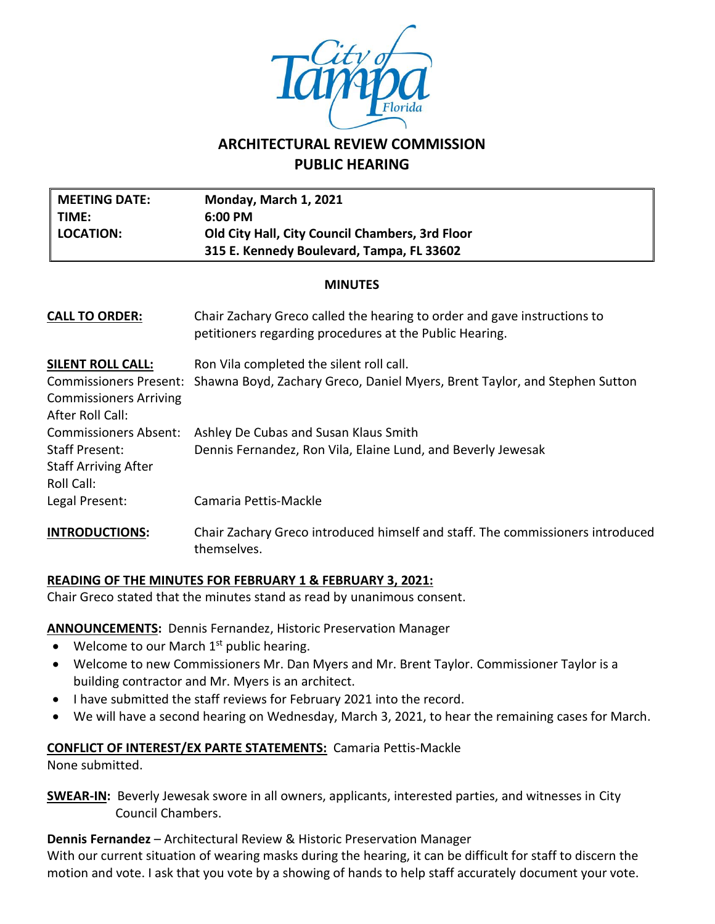

# **ARCHITECTURAL REVIEW COMMISSION PUBLIC HEARING**

| <b>MEETING DATE:</b><br>TIME:<br><b>LOCATION:</b>                                  | Monday, March 1, 2021<br>6:00 PM<br>Old City Hall, City Council Chambers, 3rd Floor                                                 |  |  |  |
|------------------------------------------------------------------------------------|-------------------------------------------------------------------------------------------------------------------------------------|--|--|--|
|                                                                                    | 315 E. Kennedy Boulevard, Tampa, FL 33602                                                                                           |  |  |  |
| <b>MINUTES</b>                                                                     |                                                                                                                                     |  |  |  |
| <b>CALL TO ORDER:</b>                                                              | Chair Zachary Greco called the hearing to order and gave instructions to<br>petitioners regarding procedures at the Public Hearing. |  |  |  |
| <u>SILENT ROLL CALL:</u>                                                           | Ron Vila completed the silent roll call.                                                                                            |  |  |  |
| <b>Commissioners Present:</b><br><b>Commissioners Arriving</b><br>After Roll Call: | Shawna Boyd, Zachary Greco, Daniel Myers, Brent Taylor, and Stephen Sutton                                                          |  |  |  |
| <b>Commissioners Absent:</b>                                                       | Ashley De Cubas and Susan Klaus Smith                                                                                               |  |  |  |
| Staff Present:<br><b>Staff Arriving After</b><br>Roll Call:                        | Dennis Fernandez, Ron Vila, Elaine Lund, and Beverly Jewesak                                                                        |  |  |  |
| Legal Present:                                                                     | Camaria Pettis-Mackle                                                                                                               |  |  |  |
| <b>INTRODUCTIONS:</b>                                                              | Chair Zachary Greco introduced himself and staff. The commissioners introduced<br>themselves.                                       |  |  |  |

# **READING OF THE MINUTES FOR FEBRUARY 1 & FEBRUARY 3, 2021:**

Chair Greco stated that the minutes stand as read by unanimous consent.

#### **ANNOUNCEMENTS:** Dennis Fernandez, Historic Preservation Manager

- $\bullet$  Welcome to our March 1<sup>st</sup> public hearing.
- Welcome to new Commissioners Mr. Dan Myers and Mr. Brent Taylor. Commissioner Taylor is a building contractor and Mr. Myers is an architect.
- I have submitted the staff reviews for February 2021 into the record.
- We will have a second hearing on Wednesday, March 3, 2021, to hear the remaining cases for March.

#### **CONFLICT OF INTEREST/EX PARTE STATEMENTS:** Camaria Pettis-Mackle

None submitted.

**SWEAR-IN:** Beverly Jewesak swore in all owners, applicants, interested parties, and witnesses in City Council Chambers.

**Dennis Fernandez** – Architectural Review & Historic Preservation Manager

With our current situation of wearing masks during the hearing, it can be difficult for staff to discern the motion and vote. I ask that you vote by a showing of hands to help staff accurately document your vote.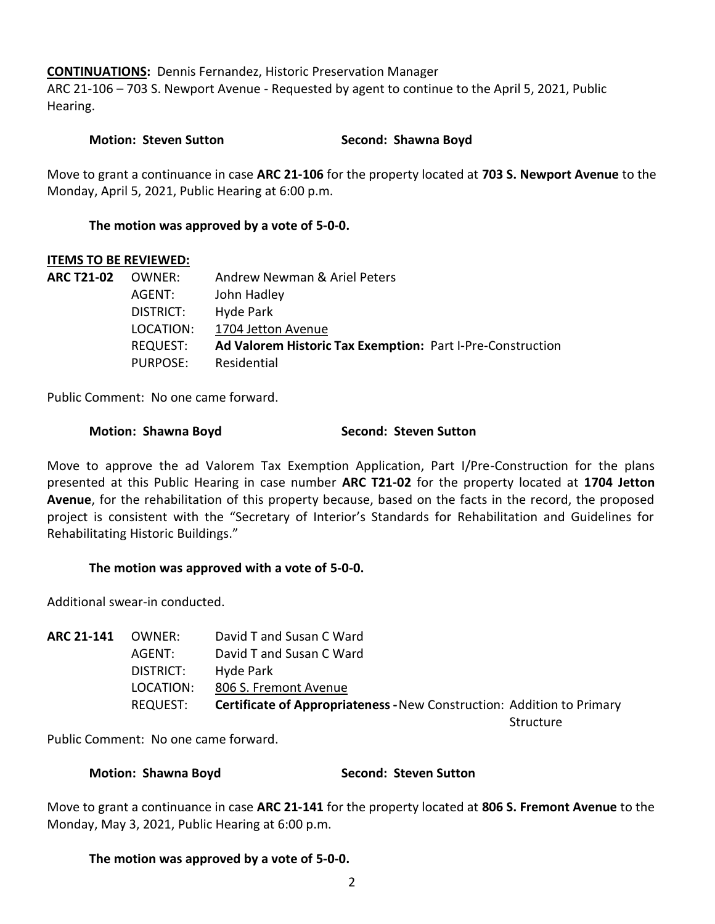**CONTINUATIONS:** Dennis Fernandez, Historic Preservation Manager

ARC 21-106 – 703 S. Newport Avenue - Requested by agent to continue to the April 5, 2021, Public Hearing.

## **Motion: Steven Sutton Second: Shawna Boyd**

Move to grant a continuance in case **ARC 21-106** for the property located at **703 S. Newport Avenue** to the Monday, April 5, 2021, Public Hearing at 6:00 p.m.

## **The motion was approved by a vote of 5-0-0.**

#### **ITEMS TO BE REVIEWED:**

| <b>ARC T21-02</b> | OWNER:    | Andrew Newman & Ariel Peters                               |
|-------------------|-----------|------------------------------------------------------------|
|                   | AGENT:    | John Hadley                                                |
|                   | DISTRICT: | Hyde Park                                                  |
|                   | LOCATION: | 1704 Jetton Avenue                                         |
|                   | REQUEST:  | Ad Valorem Historic Tax Exemption: Part I-Pre-Construction |
|                   | PURPOSE:  | Residential                                                |

Public Comment: No one came forward.

#### **Motion: Shawna Boyd Second: Steven Sutton**

Move to approve the ad Valorem Tax Exemption Application, Part I/Pre-Construction for the plans presented at this Public Hearing in case number **ARC T21-02** for the property located at **1704 Jetton Avenue**, for the rehabilitation of this property because, based on the facts in the record, the proposed project is consistent with the "Secretary of Interior's Standards for Rehabilitation and Guidelines for Rehabilitating Historic Buildings."

#### **The motion was approved with a vote of 5-0-0.**

Additional swear-in conducted.

| ARC 21-141 | OWNER:    | David T and Susan C Ward                                                      |           |
|------------|-----------|-------------------------------------------------------------------------------|-----------|
|            | AGENT:    | David T and Susan C Ward                                                      |           |
|            | DISTRICT: | Hyde Park                                                                     |           |
|            | LOCATION: | 806 S. Fremont Avenue                                                         |           |
|            | REQUEST:  | <b>Certificate of Appropriateness - New Construction: Addition to Primary</b> |           |
|            |           |                                                                               | Structure |

Public Comment: No one came forward.

#### **Motion: Shawna Boyd Second: Steven Sutton**

Move to grant a continuance in case **ARC 21-141** for the property located at **806 S. Fremont Avenue** to the Monday, May 3, 2021, Public Hearing at 6:00 p.m.

#### **The motion was approved by a vote of 5-0-0.**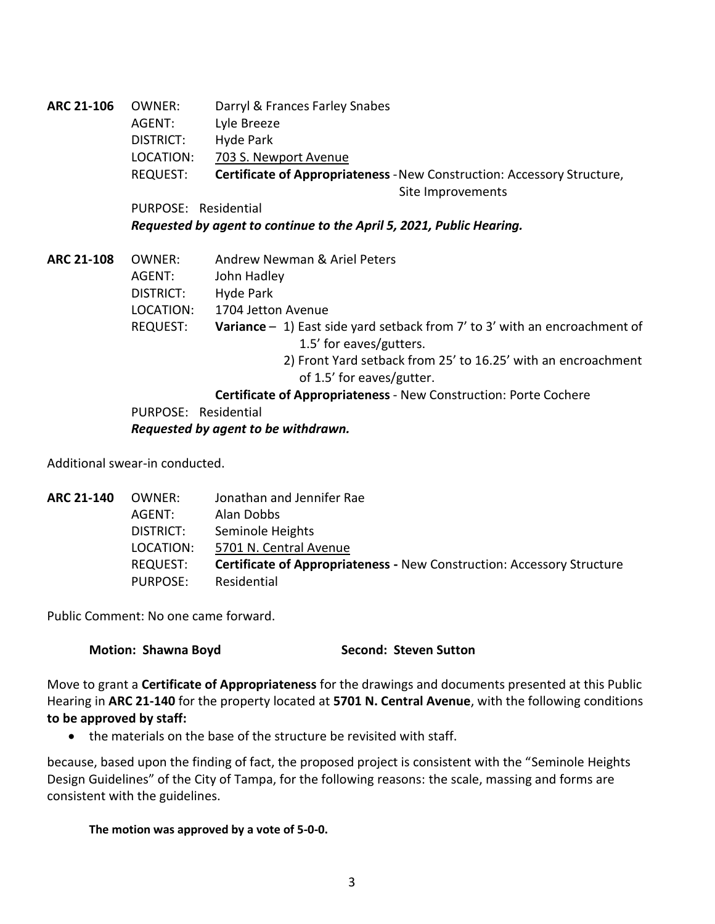| ARC 21-106 | OWNER:                                                               | Darryl & Frances Farley Snabes                                          |
|------------|----------------------------------------------------------------------|-------------------------------------------------------------------------|
|            | AGENT:                                                               | Lyle Breeze                                                             |
|            | DISTRICT:                                                            | Hyde Park                                                               |
|            | LOCATION:                                                            | 703 S. Newport Avenue                                                   |
|            | REQUEST:                                                             | Certificate of Appropriateness - New Construction: Accessory Structure, |
|            |                                                                      | Site Improvements                                                       |
|            | PURPOSE: Residential                                                 |                                                                         |
|            | Requested by agent to continue to the April 5, 2021, Public Hearing. |                                                                         |

**ARC 21-108** OWNER: Andrew Newman & Ariel Peters AGENT: John Hadley DISTRICT: Hyde Park LOCATION: 1704 Jetton Avenue REQUEST: **Variance** – 1) East side yard setback from 7' to 3' with an encroachment of 1.5' for eaves/gutters. 2) Front Yard setback from 25' to 16.25' with an encroachment of 1.5' for eaves/gutter.

> **Certificate of Appropriateness** - New Construction: Porte Cochere PURPOSE: Residential

*Requested by agent to be withdrawn.*

Additional swear-in conducted.

| <b>ARC 21-140</b> | OWNER:          | Jonathan and Jennifer Rae                                                     |
|-------------------|-----------------|-------------------------------------------------------------------------------|
|                   | AGENT:          | Alan Dobbs                                                                    |
|                   | DISTRICT:       | Seminole Heights                                                              |
|                   | LOCATION:       | 5701 N. Central Avenue                                                        |
|                   | REQUEST:        | <b>Certificate of Appropriateness - New Construction: Accessory Structure</b> |
|                   | <b>PURPOSE:</b> | Residential                                                                   |

Public Comment: No one came forward.

#### **Motion: Shawna Boyd Second: Steven Sutton**

Move to grant a **Certificate of Appropriateness** for the drawings and documents presented at this Public Hearing in **ARC 21-140** for the property located at **5701 N. Central Avenue**, with the following conditions **to be approved by staff:**

• the materials on the base of the structure be revisited with staff.

because, based upon the finding of fact, the proposed project is consistent with the "Seminole Heights Design Guidelines" of the City of Tampa, for the following reasons: the scale, massing and forms are consistent with the guidelines.

#### **The motion was approved by a vote of 5-0-0.**